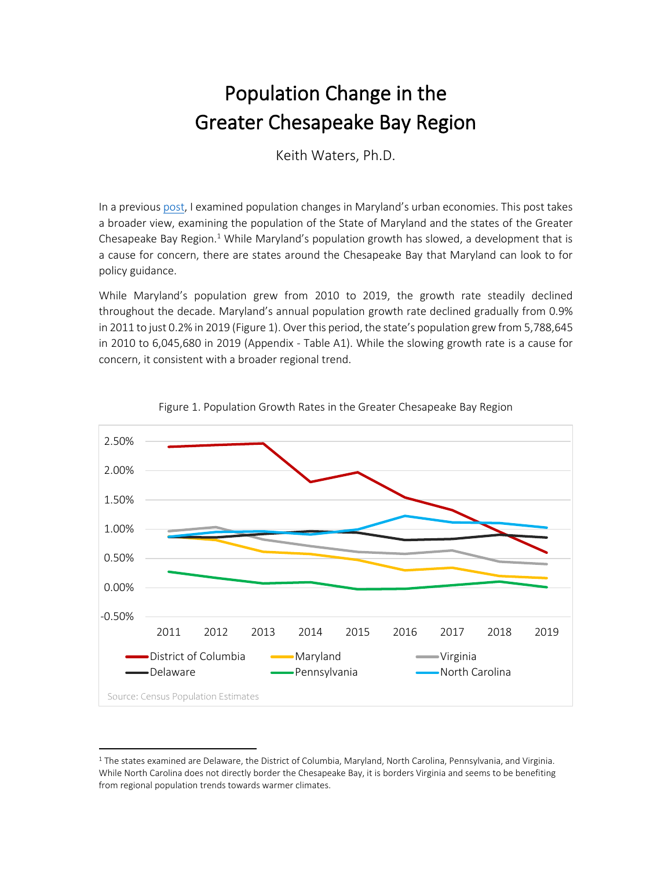## Population Change in the Greater Chesapeake Bay Region

Keith Waters, Ph.D.

In a previous [post,](https://mdmetromonitor.files.wordpress.com/2019/02/maryland-is-metro-1.pdf) I examined population changes in Maryland's urban economies. This post takes a broader view, examining the population of the State of Maryland and the states of the Greater Chesapeake Bay Region. $1$  While Maryland's population growth has slowed, a development that is a cause for concern, there are states around the Chesapeake Bay that Maryland can look to for policy guidance.

While Maryland's population grew from 2010 to 2019, the growth rate steadily declined throughout the decade. Maryland's annual population growth rate declined gradually from 0.9% in 2011 to just 0.2% in 2019 (Figure 1). Over this period, the state's population grew from 5,788,645 in 2010 to 6,045,680 in 2019 (Appendix - [Table A1\)](#page-2-0). While the slowing growth rate is a cause for concern, it consistent with a broader regional trend.





<sup>&</sup>lt;sup>1</sup> The states examined are Delaware, the District of Columbia, Maryland, North Carolina, Pennsylvania, and Virginia. While North Carolina does not directly border the Chesapeake Bay, it is borders Virginia and seems to be benefiting from regional population trends towards warmer climates.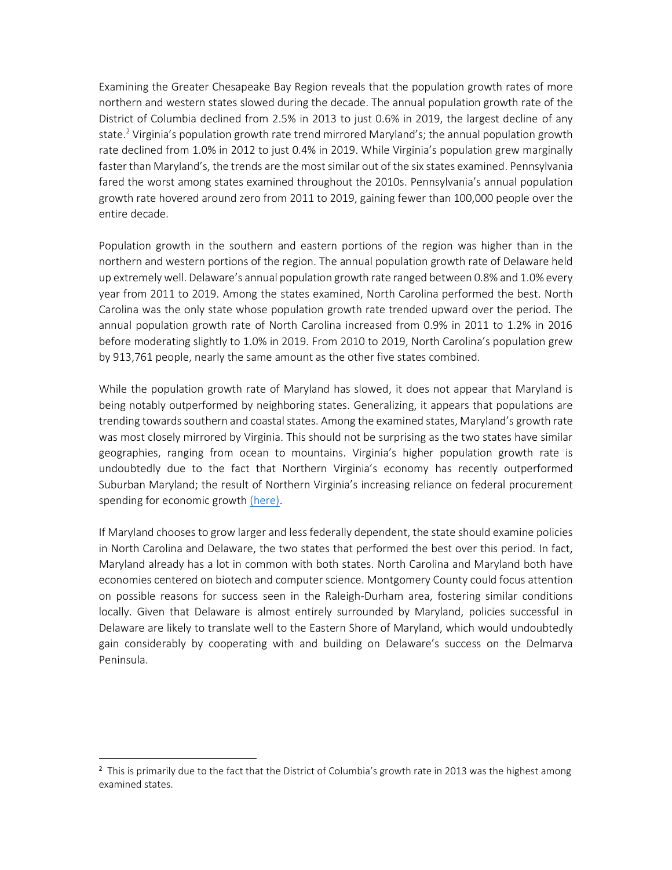Examining the Greater Chesapeake Bay Region reveals that the population growth rates of more northern and western states slowed during the decade. The annual population growth rate of the District of Columbia declined from 2.5% in 2013 to just 0.6% in 2019, the largest decline of any state. <sup>2</sup> Virginia's population growth rate trend mirrored Maryland's; the annual population growth rate declined from 1.0% in 2012 to just 0.4% in 2019. While Virginia's population grew marginally faster than Maryland's, the trends are the most similar out of the six states examined. Pennsylvania fared the worst among states examined throughout the 2010s. Pennsylvania's annual population growth rate hovered around zero from 2011 to 2019, gaining fewer than 100,000 people over the entire decade.

Population growth in the southern and eastern portions of the region was higher than in the northern and western portions of the region. The annual population growth rate of Delaware held up extremely well. Delaware's annual population growth rate ranged between 0.8% and 1.0% every year from 2011 to 2019. Among the states examined, North Carolina performed the best. North Carolina was the only state whose population growth rate trended upward over the period. The annual population growth rate of North Carolina increased from 0.9% in 2011 to 1.2% in 2016 before moderating slightly to 1.0% in 2019. From 2010 to 2019, North Carolina's population grew by 913,761 people, nearly the same amount as the other five states combined.

While the population growth rate of Maryland has slowed, it does not appear that Maryland is being notably outperformed by neighboring states. Generalizing, it appears that populations are trending towards southern and coastal states. Among the examined states, Maryland's growth rate was most closely mirrored by Virginia. This should not be surprising as the two states have similar geographies, ranging from ocean to mountains. Virginia's higher population growth rate is undoubtedly due to the fact that Northern Virginia's economy has recently outperformed Suburban Maryland; the result of Northern Virginia's increasing reliance on federal procurement spending for economic growt[h \(here\).](https://mdmetromonitor.files.wordpress.com/2019/12/montgomery-county-and-fairfax-county-economic-performance-and-federal-dependence-1.pdf)

If Maryland chooses to grow larger and less federally dependent, the state should examine policies in North Carolina and Delaware, the two states that performed the best over this period. In fact, Maryland already has a lot in common with both states. North Carolina and Maryland both have economies centered on biotech and computer science. Montgomery County could focus attention on possible reasons for success seen in the Raleigh-Durham area, fostering similar conditions locally. Given that Delaware is almost entirely surrounded by Maryland, policies successful in Delaware are likely to translate well to the Eastern Shore of Maryland, which would undoubtedly gain considerably by cooperating with and building on Delaware's success on the Delmarva Peninsula.

<sup>&</sup>lt;sup>2</sup> This is primarily due to the fact that the District of Columbia's growth rate in 2013 was the highest among examined states.